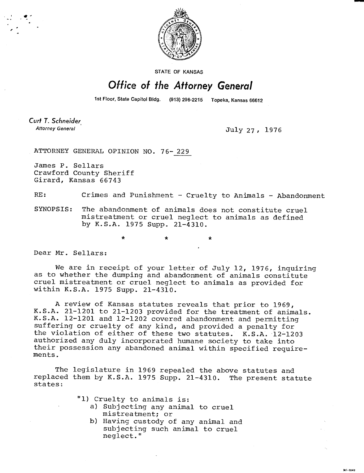

STATE OF KANSAS

## Office of the Attorney General

1st Floor, State Capitol Bldg. (913) 296-2215 Topeka, Kansas 66612

Curt T. Schneider **Attorney General** 

July 27, 1976

M1-1043

ATTORNEY GENERAL OPINION NO. 76-229

James P. Sellars Crawford County Sheriff Girard, Kansas 66743

RE: Crimes and Punishment - Cruelty to Animals - Abandonment

 $\star$ 

SYNOPSIS: The abandonment of animals does not constitute cruel mistreatment or cruel neglect to animals as defined by K.S.A. 1975 Supp. 21-4310.

Dear Mr. Sellars:

We are in receipt of your letter of July 12, 1976, inquiring as to whether the dumping and abandonment of animals constitute cruel mistreatment or cruel neglect to animals as provided for within K.S.A. 1975 Supp. 21-4310.

A review of Kansas statutes reveals that prior to 1969, K.S.A. 21-1201 to 21-1203 provided for the treatment of animals. K.S.A. 12-1201 and 12-1202 covered abandonment and permitting suffering or cruelty of any kind, and provided a penalty for the violation of either of these two statutes. K.S.A. 12-1203 authorized any duly incorporated humane society to take into their possession any abandoned animal within specified requirements.

The legislature in 1969 repealed the above statutes and replaced them by K.S.A. 1975 Supp. 21-4310. The present statute states:

- "1) Cruelty to animals is:
	- a) Subjecting any animal to cruel mistreatment; or
	- b) Having custody of any animal and subjecting such animal to cruel neglect."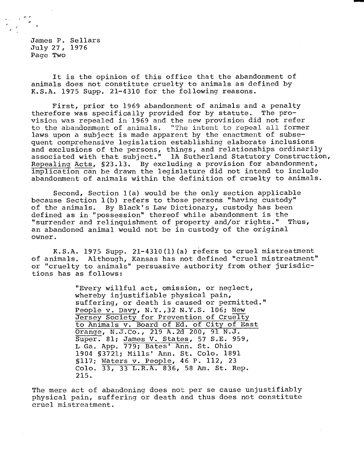James P. Sellars July 27, 1976 Page Two

It is the opinion of this office that the abandonment of animals does not constitute cruelty to animals as defined by K.S.A. 1975 Supp. 21-4310 for the following reasons.

First, prior to 1969 abandonment of animals and a penalty therefore was specifically provided for by statute. The provision was repealed in 1969 and the new provision did not refer to the abandonment of animals. "The intent to repeal all former laws upon a subject is made apparent by the enactment of subsequent comprehensive legislation establishing elaborate inclusions and exclusions of the persons, things, and relationships ordinarily associated with that subject." 1A Sutherland Statutory Construction, Repealing Acts, §23.13. By excluding a provision for abandonment, implication can be drawn the legislature did not intend to include abandonment of animals within the definition of cruelty to animals.

Second, Section 1(a) would be the only section applicable because Section 1(b) refers to those persons "having custody" of the animals. By Black's Law Dictionary, custody has been defined as in "possession" thereof while abandonment is the "surrender and relinquishment of property and/or rights." Thus, an abandoned animal would not be in custody of the original owner.

K.S.A. 1975 Supp. 21-4310(1)(a) refers to cruel mistreatment of animals. Although, Kansas has not defined "cruel mistreatment" or "cruelty to animals" persuasive authority from other jurisdictions has as follows:

> "Every willful act, omission, or neglect, whereby injustifiable physical pain, suffering, or death is caused or permitted." People v. Davy, N.Y.,32 N.Y.S. 106; New Jersey Society for Prevention of Cruelty to Animals v. Board of Ed. of City of East Orange, N.J.Co., 219 A.2d 200, 91 N.J. Super. 81; James V. States,57 S.E. 959, L Ga. App. 779; Bates' Ann. St. Ohio 1904 §3721; Mills' Ann. St. Colo. 1891 §117; Waters v. People,46 P. 112, 23 Colo. 33, 33 L.R.A. 836, 58 Am. St. Rep. 215.

The mere act of abandoning does not per se cause unjustifiably physical pain, suffering or death and thus does not constitute cruel mistreatment.